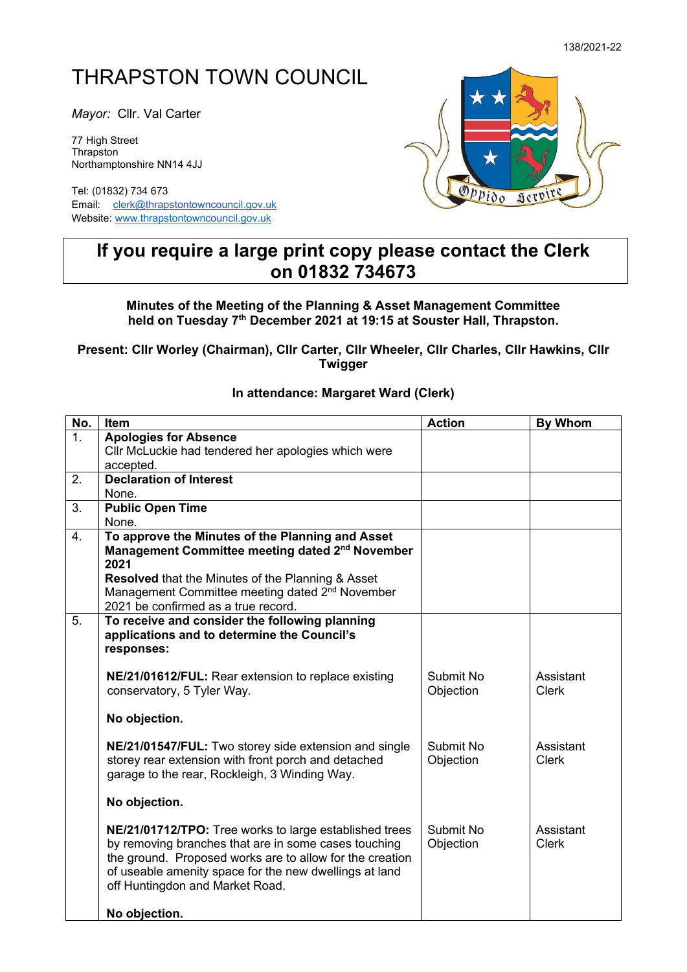## THRAPSTON TOWN COUNCIL

*Mayor:* Cllr. Val Carter

77 High Street **Thrapston** Northamptonshire NN14 4JJ

Tel: (01832) 734 673 Email: [clerk@thrapstontowncouncil.gov.uk](mailto:clerk@thrapstontowncouncil.gov.uk) Website[: www.thrapstontowncouncil.gov.uk](http://www.thrapstontowncouncil.gov.uk/)

off Huntingdon and Market Road.

**No objection.**



## **If you require a large print copy please contact the Clerk on 01832 734673**

**Minutes of the Meeting of the Planning & Asset Management Committee held on Tuesday 7 th December 2021 at 19:15 at Souster Hall, Thrapston.**

**Present: Cllr Worley (Chairman), Cllr Carter, Cllr Wheeler, Cllr Charles, Cllr Hawkins, Cllr Twigger**

## **No. Item By Whom** 1. **Apologies for Absence** Cllr McLuckie had tendered her apologies which were accepted. 2. **Declaration of Interest** None. 3. **Public Open Time** None. 4. **To approve the Minutes of the Planning and Asset Management Committee meeting dated 2<sup>nd</sup> November 2021 Resolved** that the Minutes of the Planning & Asset Management Committee meeting dated 2<sup>nd</sup> November 2021 be confirmed as a true record. 5. **To receive and consider the following planning applications and to determine the Council's responses: NE/21/01612/FUL:** Rear extension to replace existing conservatory, 5 Tyler Way. **No objection. NE/21/01547/FUL:** Two storey side extension and single storey rear extension with front porch and detached garage to the rear, Rockleigh, 3 Winding Way. **No objection. NE/21/01712/TPO:** Tree works to large established trees by removing branches that are in some cases touching the ground. Proposed works are to allow for the creation of useable amenity space for the new dwellings at land Submit No **Objection** Submit No **Objection** Submit No **Objection Assistant** Clerk Assistant Clerk Assistant Clerk

## **In attendance: Margaret Ward (Clerk)**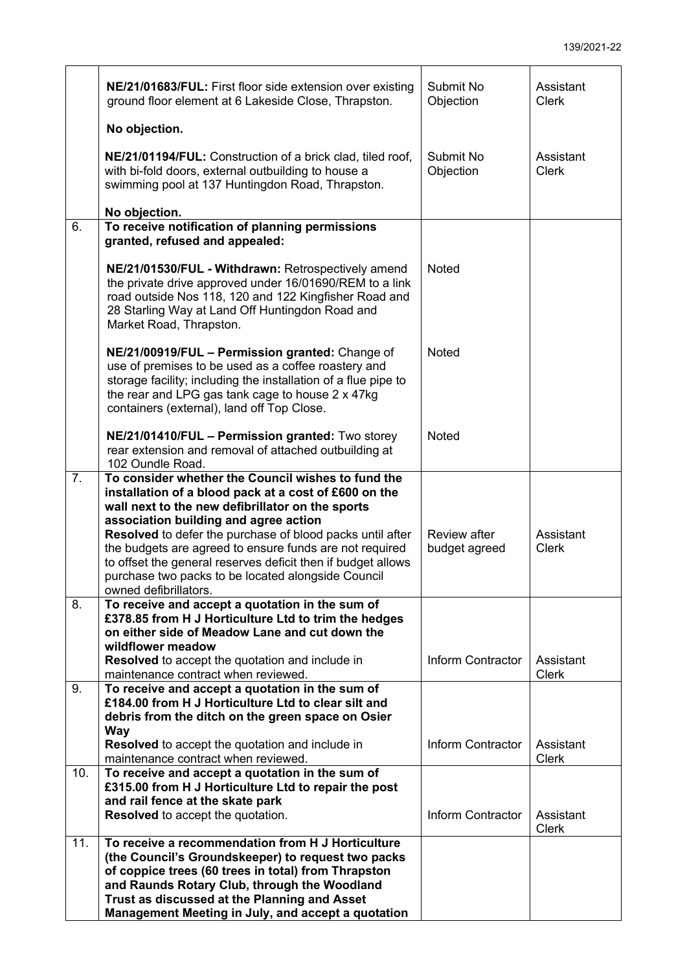|     | NE/21/01683/FUL: First floor side extension over existing<br>ground floor element at 6 Lakeside Close, Thrapston.                                                                                                                                                                                                                                                                                                                                                               | Submit No<br>Objection        | Assistant<br><b>Clerk</b> |
|-----|---------------------------------------------------------------------------------------------------------------------------------------------------------------------------------------------------------------------------------------------------------------------------------------------------------------------------------------------------------------------------------------------------------------------------------------------------------------------------------|-------------------------------|---------------------------|
|     | No objection.                                                                                                                                                                                                                                                                                                                                                                                                                                                                   |                               |                           |
|     | NE/21/01194/FUL: Construction of a brick clad, tiled roof,<br>with bi-fold doors, external outbuilding to house a<br>swimming pool at 137 Huntingdon Road, Thrapston.                                                                                                                                                                                                                                                                                                           | Submit No<br>Objection        | Assistant<br><b>Clerk</b> |
|     | No objection.                                                                                                                                                                                                                                                                                                                                                                                                                                                                   |                               |                           |
| 6.  | To receive notification of planning permissions<br>granted, refused and appealed:                                                                                                                                                                                                                                                                                                                                                                                               |                               |                           |
|     | NE/21/01530/FUL - Withdrawn: Retrospectively amend<br>the private drive approved under 16/01690/REM to a link<br>road outside Nos 118, 120 and 122 Kingfisher Road and<br>28 Starling Way at Land Off Huntingdon Road and<br>Market Road, Thrapston.                                                                                                                                                                                                                            | <b>Noted</b>                  |                           |
|     | NE/21/00919/FUL - Permission granted: Change of<br>use of premises to be used as a coffee roastery and<br>storage facility; including the installation of a flue pipe to<br>the rear and LPG gas tank cage to house 2 x 47kg<br>containers (external), land off Top Close.                                                                                                                                                                                                      | <b>Noted</b>                  |                           |
|     | NE/21/01410/FUL - Permission granted: Two storey<br>rear extension and removal of attached outbuilding at<br>102 Oundle Road.                                                                                                                                                                                                                                                                                                                                                   | <b>Noted</b>                  |                           |
| 7.  | To consider whether the Council wishes to fund the<br>installation of a blood pack at a cost of £600 on the<br>wall next to the new defibrillator on the sports<br>association building and agree action<br>Resolved to defer the purchase of blood packs until after<br>the budgets are agreed to ensure funds are not required<br>to offset the general reserves deficit then if budget allows<br>purchase two packs to be located alongside Council<br>owned defibrillators. | Review after<br>budget agreed | Assistant<br><b>Clerk</b> |
| 8.  | To receive and accept a quotation in the sum of<br>£378.85 from H J Horticulture Ltd to trim the hedges<br>on either side of Meadow Lane and cut down the                                                                                                                                                                                                                                                                                                                       |                               |                           |
|     | wildflower meadow<br>Resolved to accept the quotation and include in<br>maintenance contract when reviewed.                                                                                                                                                                                                                                                                                                                                                                     | <b>Inform Contractor</b>      | Assistant<br><b>Clerk</b> |
| 9.  | To receive and accept a quotation in the sum of<br>£184.00 from H J Horticulture Ltd to clear silt and<br>debris from the ditch on the green space on Osier<br>Way                                                                                                                                                                                                                                                                                                              |                               |                           |
|     | <b>Resolved</b> to accept the quotation and include in<br>maintenance contract when reviewed.                                                                                                                                                                                                                                                                                                                                                                                   | Inform Contractor             | Assistant<br><b>Clerk</b> |
| 10. | To receive and accept a quotation in the sum of                                                                                                                                                                                                                                                                                                                                                                                                                                 |                               |                           |
|     | £315.00 from H J Horticulture Ltd to repair the post<br>and rail fence at the skate park<br><b>Resolved</b> to accept the quotation.                                                                                                                                                                                                                                                                                                                                            | Inform Contractor             | Assistant<br><b>Clerk</b> |
| 11. | To receive a recommendation from H J Horticulture<br>(the Council's Groundskeeper) to request two packs<br>of coppice trees (60 trees in total) from Thrapston<br>and Raunds Rotary Club, through the Woodland<br>Trust as discussed at the Planning and Asset<br>Management Meeting in July, and accept a quotation                                                                                                                                                            |                               |                           |